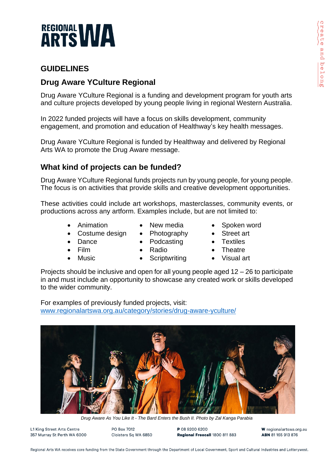

## **GUIDELINES**

# **Drug Aware YCulture Regional**

Drug Aware YCulture Regional is a funding and development program for youth arts and culture projects developed by young people living in regional Western Australia.

In 2022 funded projects will have a focus on skills development, community engagement, and promotion and education of Healthway's key health messages.

Drug Aware YCulture Regional is funded by Healthway and delivered by Regional Arts WA to promote the Drug Aware message.

#### **What kind of projects can be funded?**

Drug Aware YCulture Regional funds projects run by young people, for young people. The focus is on activities that provide skills and creative development opportunities.

These activities could include art workshops, masterclasses, community events, or productions across any artform. Examples include, but are not limited to:

- Animation
- New media
- Photography
- Spoken word
- **Street art Textiles**

**Theatre** 

**Dance** • Film

• Music

Costume design

- **Podcasting**
- Radio
- Visual art

Projects should be inclusive and open for all young people aged 12 – 26 to participate in and must include an opportunity to showcase any created work or skills developed to the wider community.

**Scriptwriting** 

For examples of previously funded projects, visit: [www.regionalartswa.org.au/category/stories/drug-aware-yculture/](http://www.regionalartswa.org.au/category/stories/drug-aware-yculture/)



*Drug Aware As You Like It - The Bard Enters the Bush II. Photo by Zal Kanga Parabia*

L1 King Street Arts Centre 357 Murray St Perth WA 6000 PO Box 7012 Cloisters Sq WA 6850

**P 08 9200 6200** Regional Freecall 1800 811 883

W regionalartswa.org.au ARN 81 165 913 876

Regional Arts WA receives core funding from the State Government through the Department of Local Government, Sport and Cultural Industries and Lotterywest.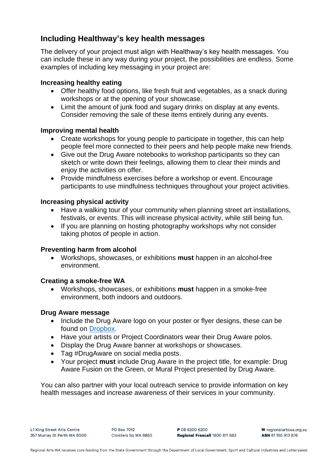### **Including Healthway's key health messages**

The delivery of your project must align with Healthway's key health messages. You can include these in any way during your project, the possibilities are endless. Some examples of including key messaging in your project are:

#### **Increasing healthy eating**

- Offer healthy food options, like fresh fruit and vegetables, as a snack during workshops or at the opening of your showcase.
- Limit the amount of junk food and sugary drinks on display at any events. Consider removing the sale of these items entirely during any events.

#### **Improving mental health**

- Create workshops for young people to participate in together, this can help people feel more connected to their peers and help people make new friends.
- Give out the Drug Aware notebooks to workshop participants so they can sketch or write down their feelings, allowing them to clear their minds and enjoy the activities on offer.
- Provide mindfulness exercises before a workshop or event. Encourage participants to use mindfulness techniques throughout your project activities.

#### **Increasing physical activity**

- Have a walking tour of your community when planning street art installations, festivals, or events. This will increase physical activity, while still being fun.
- If you are planning on hosting photography workshops why not consider taking photos of people in action.

#### **Preventing harm from alcohol**

• Workshops, showcases, or exhibitions **must** happen in an alcohol-free environment.

#### **Creating a smoke-free WA**

• Workshops, showcases, or exhibitions **must** happen in a smoke-free environment, both indoors and outdoors.

#### **Drug Aware message**

- Include the Drug Aware logo on your poster or flyer designs, these can be found on [Dropbox.](https://www.dropbox.com/home/Website%20Logo%20Folder/Drug%20Aware%20YCulture%20Regional%20Logos)
- Have your artists or Project Coordinators wear their Drug Aware polos.
- Display the Drug Aware banner at workshops or showcases.
- Tag #DrugAware on social media posts.
- Your project **must** include Drug Aware in the project title, for example: Drug Aware Fusion on the Green, or Mural Project presented by Drug Aware.

You can also partner with your local outreach service to provide information on key health messages and increase awareness of their services in your community.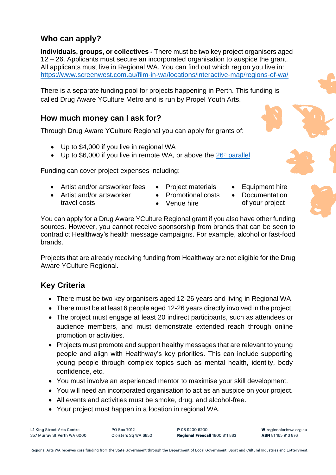### **Who can apply?**

**Individuals, groups, or collectives -** There must be two key project organisers aged 12 – 26. Applicants must secure an incorporated organisation to auspice the grant. All applicants must live in Regional WA. You can find out which region you live in: <https://www.screenwest.com.au/film-in-wa/locations/interactive-map/regions-of-wa/>

There is a separate funding pool for projects happening in Perth. This funding is called Drug Aware YCulture Metro and is run by Propel Youth Arts.

#### **How much money can I ask for?**

Through Drug Aware YCulture Regional you can apply for grants of:

- Up to \$4,000 if you live in regional WA
- Up to \$6,000 if you live in remote WA, or above the  $26<sup>th</sup>$  [parallel](https://www.commerce.wa.gov.au/consumer-protection/26th-parallel)

Funding can cover project expenses including:

- Artist and/or artsworker fees
- Project materials
- Artist and/or artsworker travel costs
- Promotional costs
- Venue hire
- Equipment hire
- **Documentation**
- of your project



You can apply for a Drug Aware YCulture Regional grant if you also have other funding sources. However, you cannot receive sponsorship from brands that can be seen to contradict Healthway's health message campaigns. For example, alcohol or fast-food brands.

Projects that are already receiving funding from Healthway are not eligible for the Drug Aware YCulture Regional.

# **Key Criteria**

- There must be two key organisers aged 12-26 years and living in Regional WA.
- There must be at least 6 people aged 12-26 years directly involved in the project.
- The project must engage at least 20 indirect participants, such as attendees or audience members, and must demonstrate extended reach through online promotion or activities.
- Projects must promote and support healthy messages that are relevant to young people and align with Healthway's key priorities. This can include supporting young people through complex topics such as mental health, identity, body confidence, etc.
- You must involve an experienced mentor to maximise your skill development.
- You will need an incorporated organisation to act as an auspice on your project.
- All events and activities must be smoke, drug, and alcohol-free.
- Your project must happen in a location in regional WA.

L1 King Street Arts Centre 357 Murray St Perth WA 6000 PO Box 7012 Cloisters Sq WA 6850 P 08 9200 6200 Regional Freecall 1800 811 883

W regionalartswa.org.au ABN 81165913876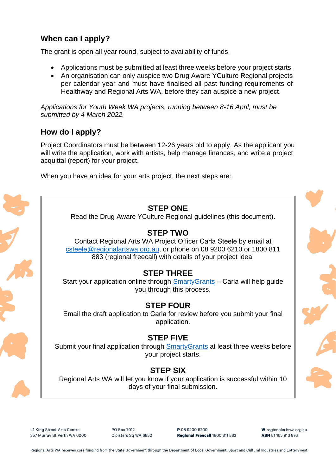## **When can I apply?**

The grant is open all year round, subject to availability of funds.

- Applications must be submitted at least three weeks before your project starts.
- An organisation can only auspice two Drug Aware YCulture Regional projects per calendar year and must have finalised all past funding requirements of Healthway and Regional Arts WA, before they can auspice a new project.

*Applications for Youth Week WA projects, running between 8-16 April, must be submitted by 4 March 2022.*

#### **How do I apply?**

Project Coordinators must be between 12-26 years old to apply. As the applicant you will write the application, work with artists, help manage finances, and write a project acquittal (report) for your project.

When you have an idea for your arts project, the next steps are:



#### L1 King Street Arts Centre 357 Murray St Perth WA 6000

PO Box 7012 Cloisters Sq WA 6850 P 08 9200 6200 Regional Freecall 1800 811 883 W regionalartswa.org.au ABN 81165913876

Regional Arts WA receives core funding from the State Government through the Department of Local Government, Sport and Cultural Industries and Lotterywest.

# **STEP ONE**

Read the Drug Aware YCulture Regional guidelines (this document).

## **STEP TWO**

Contact Regional Arts WA Project Officer Carla Steele by email at csteele[@regionalartswa.org.au, o](mailto:csteele@regionalartswa.org.au)r phone on 08 9200 6210 or 1800 811 883 (regional freecall) with details of your project idea.

#### **STEP THREE**

Start your application online through [SmartyGrants](https://regionalartswa.smartygrants.com.au/DAYC2022) – Carla will help guide you through this process.

# **STEP FOUR**

Email the draft application to Carla for review before you submit your final application.

#### **STEP FIVE**

Submit your final application through Smarty Grants at least three weeks before your project starts.

# **STEP SIX**

Regional Arts WA will let you know if your application is successful within 10 days of your final submission.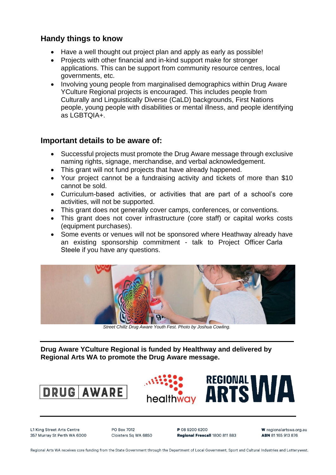#### **Handy things to know**

- Have a well thought out project plan and apply as early as possible!
- Proiects with other financial and in-kind support make for stronger applications. This can be support from community resource centres, local governments, etc.
- Involving young people from marginalised demographics within Drug Aware YCulture Regional projects is encouraged. This includes people from Culturally and Linguistically Diverse (CaLD) backgrounds, First Nations people, young people with disabilities or mental illness, and people identifying as LGBTQIA+.

#### **Important details to be aware of:**

- Successful projects must promote the Drug Aware message through exclusive naming rights, signage, merchandise, and verbal acknowledgement.
- This grant will not fund projects that have already happened.
- Your project cannot be a fundraising activity and tickets of more than \$10 cannot be sold.
- Curriculum-based activities, or activities that are part of a school's core activities, will not be supported.
- This grant does not generally cover camps, conferences, or conventions.
- This grant does not cover infrastructure (core staff) or capital works costs (equipment purchases).
- Some events or venues will not be sponsored where Heathway already have an existing sponsorship commitment - talk to Project Officer Carla Steele if you have any questions.



*Street Chillz Drug Aware Youth Fest. Photo by Joshua Cowling.*

**Drug Aware YCulture Regional is funded by Healthway and delivered by Regional Arts WA to promote the Drug Aware message.** 





L1 King Street Arts Centre 357 Murray St Perth WA 6000 PO Box 7012 Cloisters Sq WA 6850 P 08 9200 6200 Regional Freecall 1800 811 883 W regionalartswa.org.au ABN 81165913876

Regional Arts WA receives core funding from the State Government through the Department of Local Government, Sport and Cultural Industries and Lotterywest.